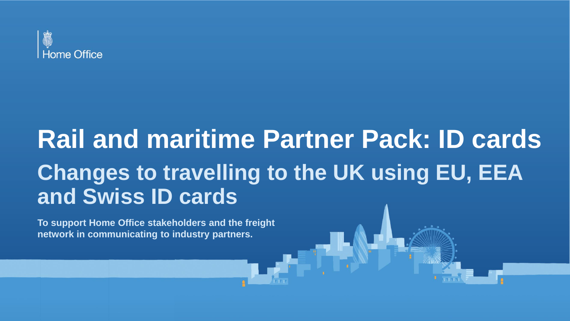

# **Rail and maritime Partner Pack: ID cards Changes to travelling to the UK using EU, EEA and Swiss ID cards**

**To support Home Office stakeholders and the freight network in communicating to industry partners.**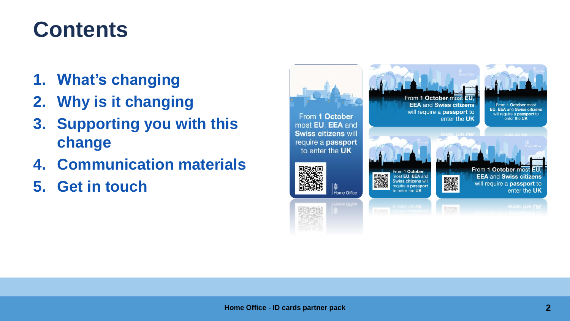#### **Contents**

- **1. What's changing**
- **2. Why is it changing**
- **3. Supporting you with this change**
- **4. Communication materials**
- **5. Get in touch**

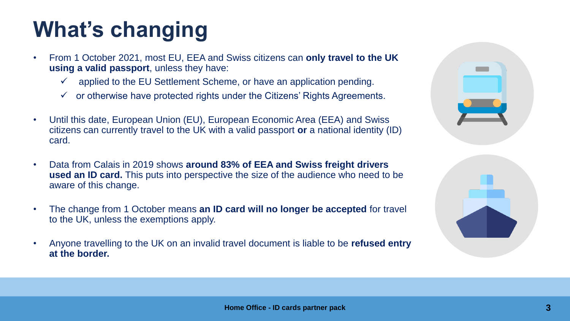# **What's changing**

- From 1 October 2021, most EU, EEA and Swiss citizens can **only travel to the UK using a valid passport**, unless they have:
	- $\checkmark$  applied to the EU Settlement Scheme, or have an application pending.
	- $\checkmark$  or otherwise have protected rights under the Citizens' Rights Agreements.
- Until this date, European Union (EU), European Economic Area (EEA) and Swiss citizens can currently travel to the UK with a valid passport **or** a national identity (ID) card.
- Data from Calais in 2019 shows **around 83% of EEA and Swiss freight drivers used an ID card.** This puts into perspective the size of the audience who need to be aware of this change.
- The change from 1 October means **an ID card will no longer be accepted** for travel to the UK, unless the exemptions apply.
- Anyone travelling to the UK on an invalid travel document is liable to be **refused entry at the border.**

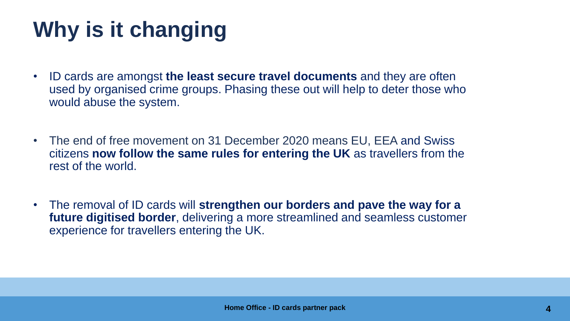# **Why is it changing**

- ID cards are amongst **the least secure travel documents** and they are often used by organised crime groups. Phasing these out will help to deter those who would abuse the system.
- The end of free movement on 31 December 2020 means EU, EEA and Swiss citizens **now follow the same rules for entering the UK** as travellers from the rest of the world.
- The removal of ID cards will **strengthen our borders and pave the way for a future digitised border**, delivering a more streamlined and seamless customer experience for travellers entering the UK.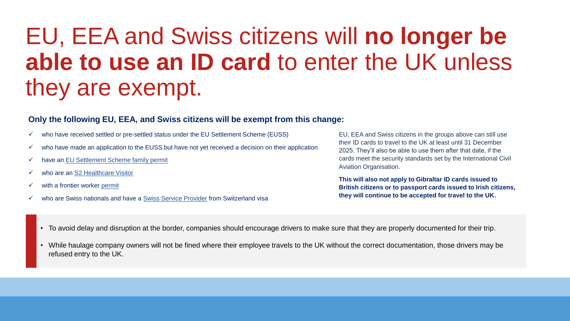# EU, EEA and Swiss citizens will **no longer be able to use an ID card** to enter the UK unless they are exempt.

#### **Only the following EU, EEA, and Swiss citizens will be exempt from this change:**

- $\checkmark$  who have received settled or pre-settled status under the EU Settlement Scheme (EUSS)
- $\checkmark$  who have made an application to the EUSS but have not yet received a decision on their application
- ✓ have an EU [Settlement Scheme family permit](https://www.gov.uk/family-permit)
- ✓ who are an [S2 Healthcare Visitor](https://www.gov.uk/guidance/enter-the-uk-as-an-s2-healthcare-visitor)
- $\checkmark$  with a frontier worker [permit](https://www.gov.uk/frontier-worker-permit)
- ✓ who are Swiss nationals and have a [Swiss Service Provider](https://www.gov.uk/guidance/apply-for-a-service-providers-from-switzerland-visa) from Switzerland visa

EU, EEA and Swiss citizens in the groups above can still use their ID cards to travel to the UK at least until 31 December 2025. They'll also be able to use them after that date, if the cards meet the security standards set by the International Civil Aviation Organisation.

**This will also not apply to Gibraltar ID cards issued to British citizens or to passport cards issued to Irish citizens, they will continue to be accepted for travel to the UK.**

- To avoid delay and disruption at the border, companies should encourage drivers to make sure that they are properly documented for their trip.
- While haulage company owners will not be fined where their employee travels to the UK without the correct documentation, those drivers may be refused entry to the UK.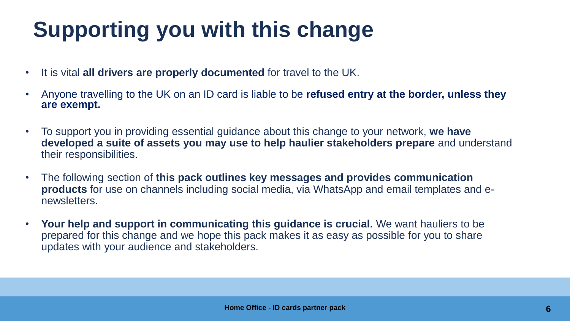# **Supporting you with this change**

- It is vital **all drivers are properly documented** for travel to the UK.
- Anyone travelling to the UK on an ID card is liable to be **refused entry at the border, unless they are exempt.**
- To support you in providing essential guidance about this change to your network, **we have developed a suite of assets you may use to help haulier stakeholders prepare** and understand their responsibilities.
- The following section of **this pack outlines key messages and provides communication products** for use on channels including social media, via WhatsApp and email templates and enewsletters.
- **Your help and support in communicating this guidance is crucial.** We want hauliers to be prepared for this change and we hope this pack makes it as easy as possible for you to share updates with your audience and stakeholders.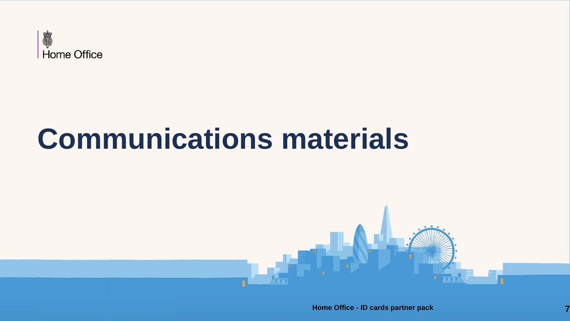

# **Communications materials**

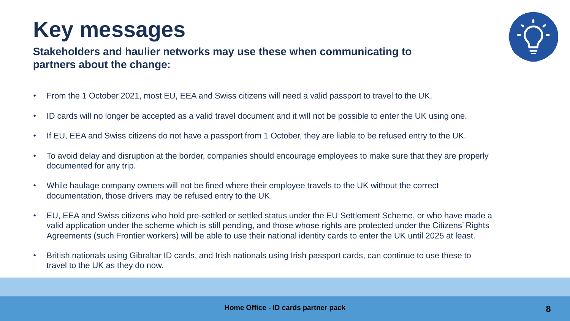# **Key messages**

**Stakeholders and haulier networks may use these when communicating to partners about the change:**

- From the 1 October 2021, most EU, EEA and Swiss citizens will need a valid passport to travel to the UK.
- ID cards will no longer be accepted as a valid travel document and it will not be possible to enter the UK using one.
- If EU, EEA and Swiss citizens do not have a passport from 1 October, they are liable to be refused entry to the UK.
- To avoid delay and disruption at the border, companies should encourage employees to make sure that they are properly documented for any trip.
- While haulage company owners will not be fined where their employee travels to the UK without the correct documentation, those drivers may be refused entry to the UK.
- EU, EEA and Swiss citizens who hold pre-settled or settled status under the EU Settlement Scheme, or who have made a valid application under the scheme which is still pending, and those whose rights are protected under the Citizens' Rights Agreements (such Frontier workers) will be able to use their national identity cards to enter the UK until 2025 at least.
- British nationals using Gibraltar ID cards, and Irish nationals using Irish passport cards, can continue to use these to travel to the UK as they do now.

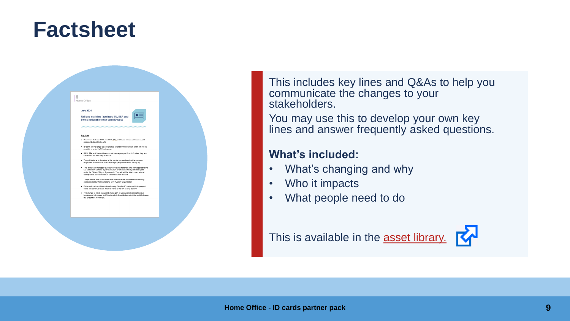#### **Factsheet**



This includes key lines and Q&As to help you communicate the changes to your stakeholders.

You may use this to develop your own key lines and answer frequently asked questions.

#### **What's included:**

- What's changing and why
- Who it impacts
- What people need to do

This is available in the **[asset library.](https://homeoffice.brandworkz.com/bms/?link=BD83F5DD)** 

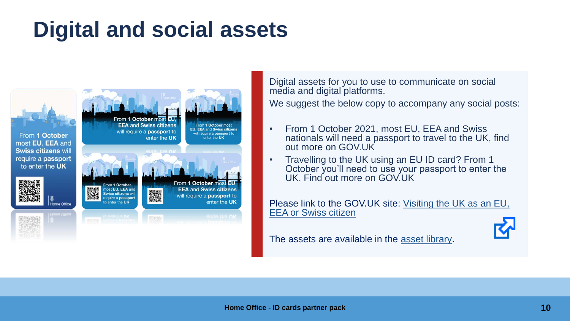### **Digital and social assets**



Digital assets for you to use to communicate on social media and digital platforms.

We suggest the below copy to accompany any social posts:

- From 1 October 2021, most EU, EEA and Swiss nationals will need a passport to travel to the UK, find out more on GOV.UK
- Travelling to the UK using an EU ID card? From 1 October you'll need to use your passport to enter the UK. Find out more on GOV.UK

[Please link to the GOV.UK site: Visiting the UK as an EU,](https://www.gov.uk/guidance/visiting-the-uk-as-an-eu-eea-or-swiss-citizen?utm_source=partner%20pack&utm_campaign=ID%20cards) EEA or Swiss citizen

The assets are available in the [asset library](https://homeoffice.brandworkz.com/bms/?link=C6F9D3D5).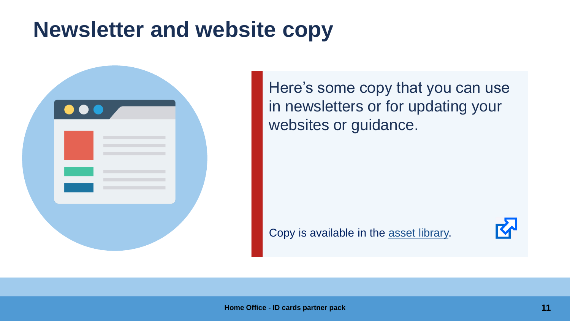#### **Newsletter and website copy**



Here's some copy that you can use in newsletters or for updating your websites or guidance.

Copy is available in the [asset library.](https://homeoffice.brandworkz.com/bms/?link=BA8976F5)

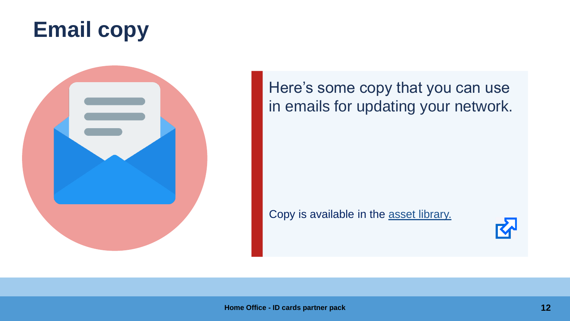### **Email copy**



Here's some copy that you can use in emails for updating your network.

Copy is available in the [asset library.](https://homeoffice.brandworkz.com/bms/?link=8F75365F) 

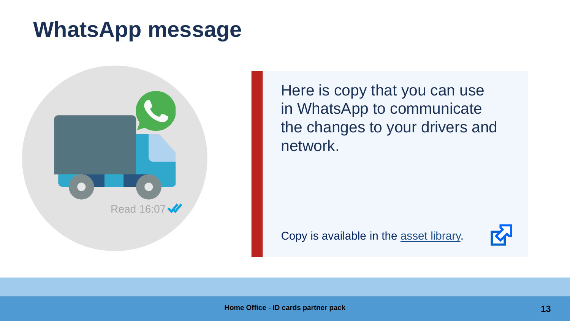#### **WhatsApp message**



Here is copy that you can use in WhatsApp to communicate the changes to your drivers and network.

Copy is available in the [asset library.](https://homeoffice.brandworkz.com/bms/?link=B3A5B493)

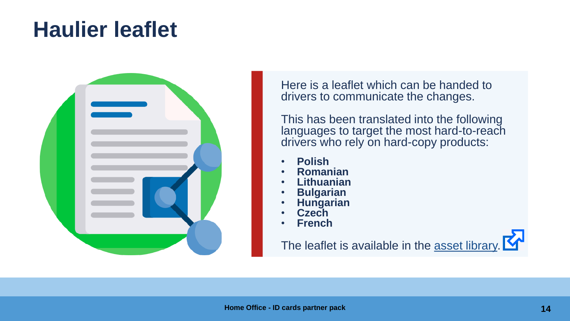### **Haulier leaflet**



Here is a leaflet which can be handed to drivers to communicate the changes.

This has been translated into the following languages to target the most hard-to-reach drivers who rely on hard-copy products:

- **Polish**
- **Romanian**
- **Lithuanian**
- **Bulgarian**
- **Hungarian**
- **Czech**
- **French**

The leaflet is available in the [asset library.](https://homeoffice.brandworkz.com/bms/?link=CF31AA81)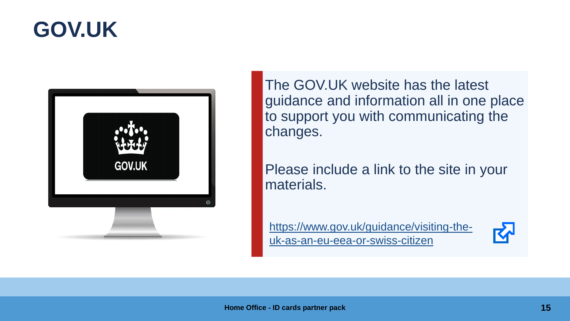#### **GOV.UK**



The GOV.UK website has the latest guidance and information all in one place to support you with communicating the changes.

Please include a link to the site in your materials.

[https://www.gov.uk/guidance/visiting-the](https://www.gov.uk/guidance/visiting-the-uk-as-an-eu-eea-or-swiss-citizen?utm_source=partner%20pack&utm_campaign=ID%20cards)uk-as-an-eu-eea-or-swiss-citizen

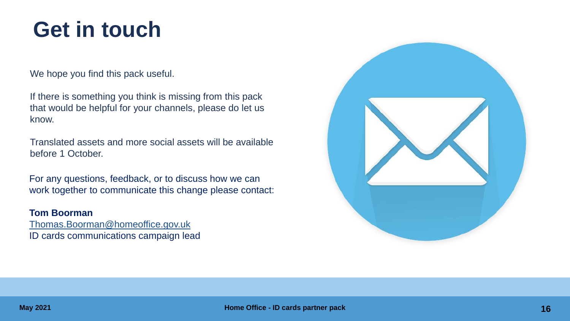#### **Get in touch**

We hope you find this pack useful.

If there is something you think is missing from this pack that would be helpful for your channels, please do let us know.

Translated assets and more social assets will be available before 1 October.

For any questions, feedback, or to discuss how we can work together to communicate this change please contact:

#### **Tom Boorman**

[Thomas.Boorman@homeoffice.gov.uk](mailto:Thomas.Boorman@homeoffice.gov.uk) ID cards communications campaign lead

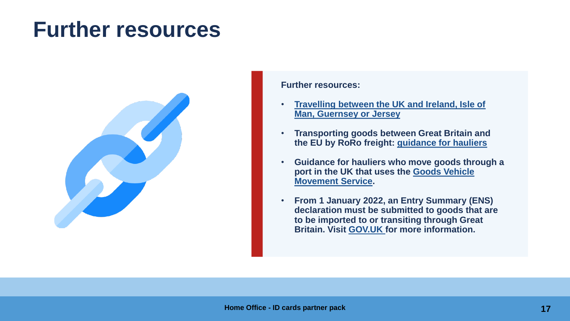#### **Further resources**



**Further resources:**

- **[Travelling between the UK and Ireland, Isle of](Travelling%20between%20the%20UK%20and%20Ireland,%20Isle%20of%20Man,%20Guernsey%20or%20Jersey)  Man, Guernsey or Jersey**
- **Transporting goods between Great Britain and the EU by RoRo freight: [guidance for hauliers](https://www.gov.uk/guidance/transporting-goods-between-great-britain-and-the-eu-by-roro-freight-guidance-for-hauliers)**
- **Guidance for hauliers who move goods through a [port in the UK that uses the Goods Vehicle](https://www.gov.uk/guidance/register-for-the-goods-vehicle-movement-service)  Movement Service.**
- **From 1 January 2022, an Entry Summary (ENS) declaration must be submitted to goods that are to be imported to or transiting through Great Britain. Visit [GOV.UK f](https://www.gov.uk/guidance/check-if-you-need-to-make-an-entry-summary-declaration)or more information.**